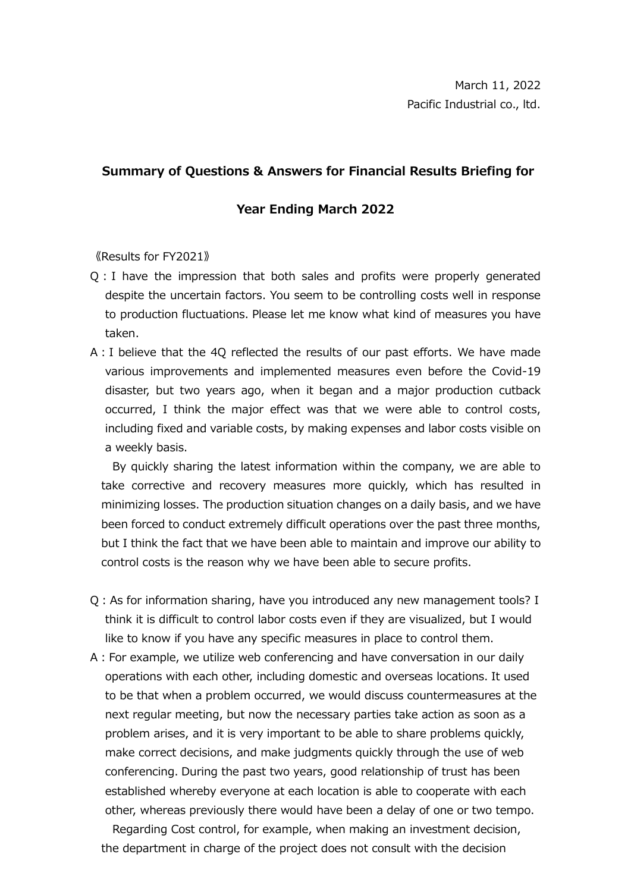## **Summary of Questions & Answers for Financial Results Briefing for**

## **Year Ending March 2022**

《Results for FY2021》

- Q:I have the impression that both sales and profits were properly generated despite the uncertain factors. You seem to be controlling costs well in response to production fluctuations. Please let me know what kind of measures you have taken.
- A:I believe that the 4Q reflected the results of our past efforts. We have made various improvements and implemented measures even before the Covid-19 disaster, but two years ago, when it began and a major production cutback occurred, I think the major effect was that we were able to control costs, including fixed and variable costs, by making expenses and labor costs visible on a weekly basis.

By quickly sharing the latest information within the company, we are able to take corrective and recovery measures more quickly, which has resulted in minimizing losses. The production situation changes on a daily basis, and we have been forced to conduct extremely difficult operations over the past three months, but I think the fact that we have been able to maintain and improve our ability to control costs is the reason why we have been able to secure profits.

- Q:As for information sharing, have you introduced any new management tools? I think it is difficult to control labor costs even if they are visualized, but I would like to know if you have any specific measures in place to control them.
- A:For example, we utilize web conferencing and have conversation in our daily operations with each other, including domestic and overseas locations. It used to be that when a problem occurred, we would discuss countermeasures at the next regular meeting, but now the necessary parties take action as soon as a problem arises, and it is very important to be able to share problems quickly, make correct decisions, and make judgments quickly through the use of web conferencing. During the past two years, good relationship of trust has been established whereby everyone at each location is able to cooperate with each other, whereas previously there would have been a delay of one or two tempo.

Regarding Cost control, for example, when making an investment decision, the department in charge of the project does not consult with the decision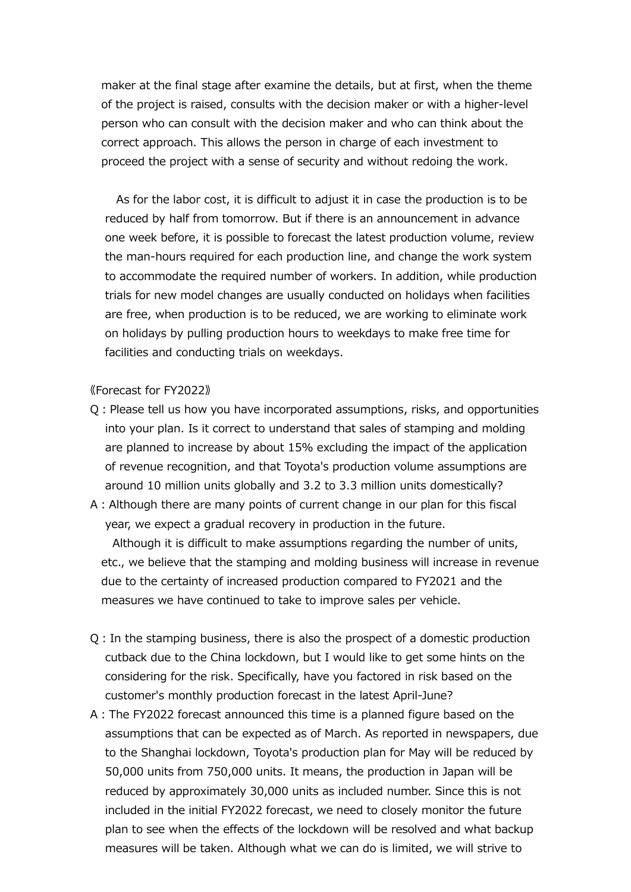maker at the final stage after examine the details, but at first, when the theme of the project is raised, consults with the decision maker or with a higher-level person who can consult with the decision maker and who can think about the correct approach. This allows the person in charge of each investment to proceed the project with a sense of security and without redoing the work.

As for the labor cost, it is difficult to adjust it in case the production is to be reduced by half from tomorrow. But if there is an announcement in advance one week before, it is possible to forecast the latest production volume, review the man-hours required for each production line, and change the work system to accommodate the required number of workers. In addition, while production trials for new model changes are usually conducted on holidays when facilities are free, when production is to be reduced, we are working to eliminate work on holidays by pulling production hours to weekdays to make free time for facilities and conducting trials on weekdays.

## 《Forecast for FY2022》

- Q:Please tell us how you have incorporated assumptions, risks, and opportunities into your plan. Is it correct to understand that sales of stamping and molding are planned to increase by about 15% excluding the impact of the application of revenue recognition, and that Toyota's production volume assumptions are around 10 million units globally and 3.2 to 3.3 million units domestically?
- A:Although there are many points of current change in our plan for this fiscal year, we expect a gradual recovery in production in the future.

Although it is difficult to make assumptions regarding the number of units, etc., we believe that the stamping and molding business will increase in revenue due to the certainty of increased production compared to FY2021 and the measures we have continued to take to improve sales per vehicle.

- Q:In the stamping business, there is also the prospect of a domestic production cutback due to the China lockdown, but I would like to get some hints on the considering for the risk. Specifically, have you factored in risk based on the customer's monthly production forecast in the latest April-June?
- A:The FY2022 forecast announced this time is a planned figure based on the assumptions that can be expected as of March. As reported in newspapers, due to the Shanghai lockdown, Toyota's production plan for May will be reduced by 50,000 units from 750,000 units. It means, the production in Japan will be reduced by approximately 30,000 units as included number. Since this is not included in the initial FY2022 forecast, we need to closely monitor the future plan to see when the effects of the lockdown will be resolved and what backup measures will be taken. Although what we can do is limited, we will strive to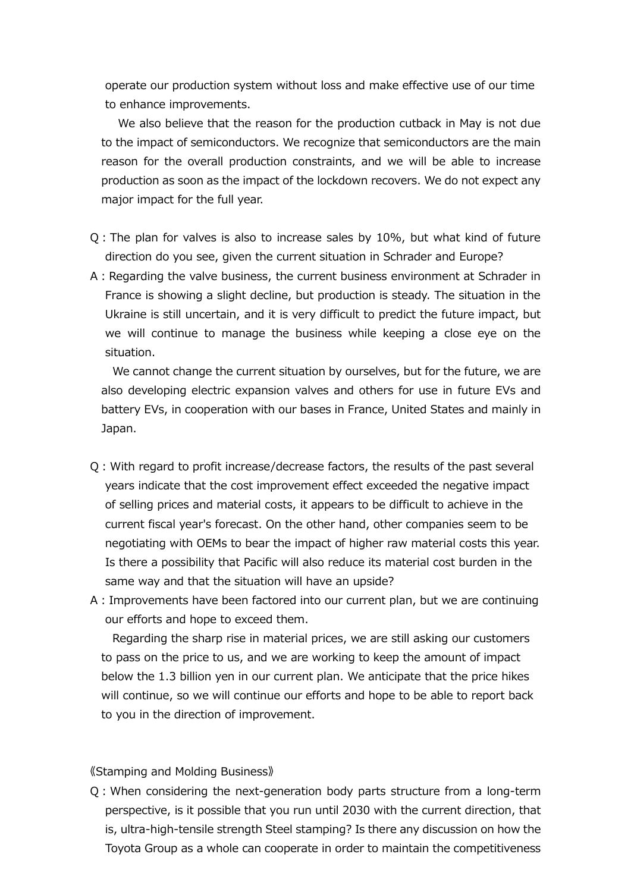operate our production system without loss and make effective use of our time to enhance improvements.

We also believe that the reason for the production cutback in May is not due to the impact of semiconductors. We recognize that semiconductors are the main reason for the overall production constraints, and we will be able to increase production as soon as the impact of the lockdown recovers. We do not expect any major impact for the full year.

- Q:The plan for valves is also to increase sales by 10%, but what kind of future direction do you see, given the current situation in Schrader and Europe?
- A: Regarding the valve business, the current business environment at Schrader in France is showing a slight decline, but production is steady. The situation in the Ukraine is still uncertain, and it is very difficult to predict the future impact, but we will continue to manage the business while keeping a close eye on the situation.

We cannot change the current situation by ourselves, but for the future, we are also developing electric expansion valves and others for use in future EVs and battery EVs, in cooperation with our bases in France, United States and mainly in Japan.

- Q:With regard to profit increase/decrease factors, the results of the past several years indicate that the cost improvement effect exceeded the negative impact of selling prices and material costs, it appears to be difficult to achieve in the current fiscal year's forecast. On the other hand, other companies seem to be negotiating with OEMs to bear the impact of higher raw material costs this year. Is there a possibility that Pacific will also reduce its material cost burden in the same way and that the situation will have an upside?
- A:Improvements have been factored into our current plan, but we are continuing our efforts and hope to exceed them.

Regarding the sharp rise in material prices, we are still asking our customers to pass on the price to us, and we are working to keep the amount of impact below the 1.3 billion yen in our current plan. We anticipate that the price hikes will continue, so we will continue our efforts and hope to be able to report back to you in the direction of improvement.

## 《Stamping and Molding Business》

Q:When considering the next-generation body parts structure from a long-term perspective, is it possible that you run until 2030 with the current direction, that is, ultra-high-tensile strength Steel stamping? Is there any discussion on how the Toyota Group as a whole can cooperate in order to maintain the competitiveness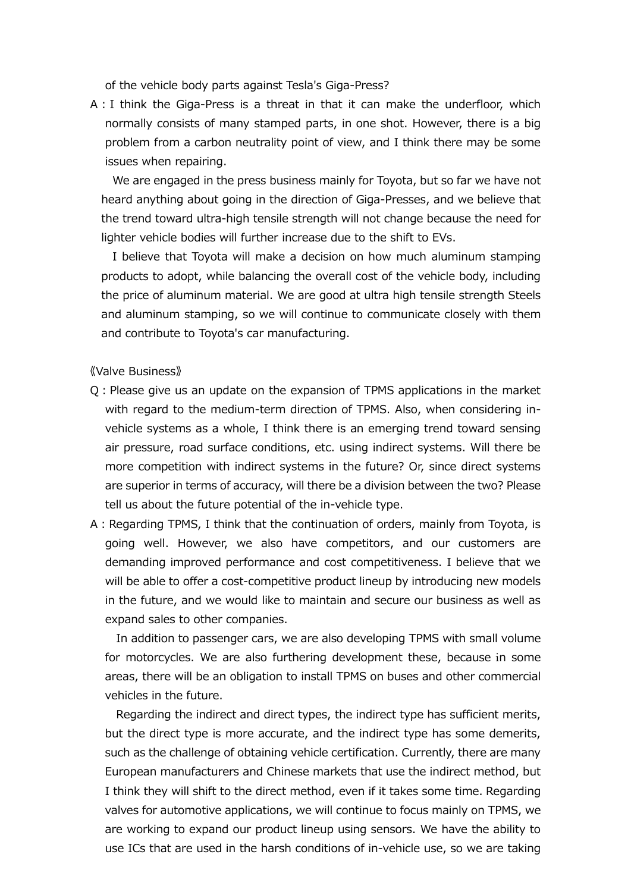of the vehicle body parts against Tesla's Giga-Press?

A:I think the Giga-Press is a threat in that it can make the underfloor, which normally consists of many stamped parts, in one shot. However, there is a big problem from a carbon neutrality point of view, and I think there may be some issues when repairing.

We are engaged in the press business mainly for Toyota, but so far we have not heard anything about going in the direction of Giga-Presses, and we believe that the trend toward ultra-high tensile strength will not change because the need for lighter vehicle bodies will further increase due to the shift to EVs.

I believe that Toyota will make a decision on how much aluminum stamping products to adopt, while balancing the overall cost of the vehicle body, including the price of aluminum material. We are good at ultra high tensile strength Steels and aluminum stamping, so we will continue to communicate closely with them and contribute to Toyota's car manufacturing.

《Valve Business》

- Q:Please give us an update on the expansion of TPMS applications in the market with regard to the medium-term direction of TPMS. Also, when considering invehicle systems as a whole, I think there is an emerging trend toward sensing air pressure, road surface conditions, etc. using indirect systems. Will there be more competition with indirect systems in the future? Or, since direct systems are superior in terms of accuracy, will there be a division between the two? Please tell us about the future potential of the in-vehicle type.
- A: Regarding TPMS, I think that the continuation of orders, mainly from Toyota, is going well. However, we also have competitors, and our customers are demanding improved performance and cost competitiveness. I believe that we will be able to offer a cost-competitive product lineup by introducing new models in the future, and we would like to maintain and secure our business as well as expand sales to other companies.

In addition to passenger cars, we are also developing TPMS with small volume for motorcycles. We are also furthering development these, because in some areas, there will be an obligation to install TPMS on buses and other commercial vehicles in the future.

Regarding the indirect and direct types, the indirect type has sufficient merits, but the direct type is more accurate, and the indirect type has some demerits, such as the challenge of obtaining vehicle certification. Currently, there are many European manufacturers and Chinese markets that use the indirect method, but I think they will shift to the direct method, even if it takes some time. Regarding valves for automotive applications, we will continue to focus mainly on TPMS, we are working to expand our product lineup using sensors. We have the ability to use ICs that are used in the harsh conditions of in-vehicle use, so we are taking